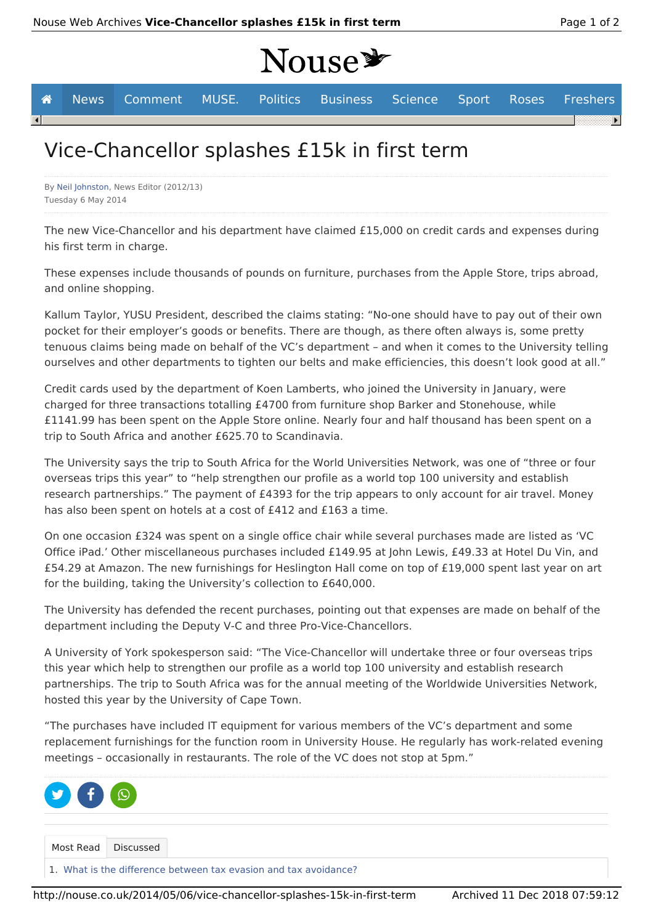# **Nouse\***

|                                             |  | <b>A</b> News Comment MUSE. Politics Business Science Sport Roses Freshers |  |  |  |  |  |  |  |  |
|---------------------------------------------|--|----------------------------------------------------------------------------|--|--|--|--|--|--|--|--|
| $\left  \cdot \right $                      |  |                                                                            |  |  |  |  |  |  |  |  |
| Nico Chancellor splashes (15k in first term |  |                                                                            |  |  |  |  |  |  |  |  |

## Vice-Chancellor splashes £15k in first term

By Neil Johnston, News Editor (2012/13) Tuesday 6 May 2014

The new Vice-Chancellor and his department have claimed £15,000 on credit cards and expenses during his first term in charge.

These expenses include thousands of pounds on furniture, purchases from the Apple Store, trips abroad, and online shopping.

Kallum Taylor, YUSU President, described the claims stating: "No-one should have to pay out of their own pocket for their employer's goods or benefits. There are though, as there often always is, some pretty tenuous claims being made on behalf of the VC's department – and when it comes to the University telling ourselves and other departments to tighten our belts and make efficiencies, this doesn't look good at all."

Credit cards used by the department of Koen Lamberts, who joined the University in January, were charged for three transactions totalling £4700 from furniture shop Barker and Stonehouse, while £1141.99 has been spent on the Apple Store online. Nearly four and half thousand has been spent on a trip to South Africa and another £625.70 to Scandinavia.

The University says the trip to South Africa for the World Universities Network, was one of "three or four overseas trips this year" to "help strengthen our profile as a world top 100 university and establish research partnerships." The payment of £4393 for the trip appears to only account for air travel. Money has also been spent on hotels at a cost of £412 and £163 a time.

On one occasion £324 was spent on a single office chair while several purchases made are listed as 'VC Office iPad.' Other miscellaneous purchases included £149.95 at John Lewis, £49.33 at Hotel Du Vin, and £54.29 at Amazon. The new furnishings for Heslington Hall come on top of £19,000 spent last year on art for the building, taking the University's collection to £640,000.

The University has defended the recent purchases, pointing out that expenses are made on behalf of the department including the Deputy V-C and three Pro-Vice-Chancellors.

A University of York spokesperson said: "The Vice-Chancellor will undertake three or four overseas trips this year which help to strengthen our profile as a world top 100 university and establish research partnerships. The trip to South Africa was for the annual meeting of the Worldwide Universities Network, hosted this year by the University of Cape Town.

"The purchases have included IT equipment for various members of the VC's department and some replacement furnishings for the function room in University House. He regularly has work-related evening meetings – occasionally in restaurants. The role of the VC does not stop at 5pm."

| $\begin{picture}(130,10) \put(0,0){\line(1,0){155}} \put(150,10){\line(1,0){155}} \put(150,10){\line(1,0){155}} \put(150,10){\line(1,0){155}} \put(150,10){\line(1,0){155}} \put(150,10){\line(1,0){155}} \put(150,10){\line(1,0){155}} \put(150,10){\line(1,0){155}} \put(150,10){\line(1,0){155}} \put(150,10){\line(1,0){155}} \$ |                                                                  |  |
|--------------------------------------------------------------------------------------------------------------------------------------------------------------------------------------------------------------------------------------------------------------------------------------------------------------------------------------|------------------------------------------------------------------|--|
|                                                                                                                                                                                                                                                                                                                                      | Most Read Discussed                                              |  |
|                                                                                                                                                                                                                                                                                                                                      | 1. What is the difference between tax evasion and tax avoidance? |  |